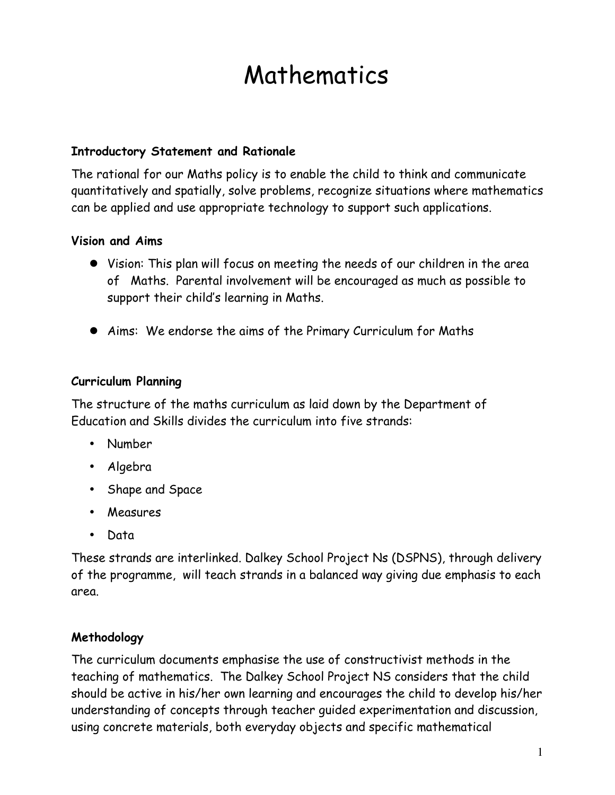# Mathematics

#### **Introductory Statement and Rationale**

The rational for our Maths policy is to enable the child to think and communicate quantitatively and spatially, solve problems, recognize situations where mathematics can be applied and use appropriate technology to support such applications.

#### **Vision and Aims**

- Vision: This plan will focus on meeting the needs of our children in the area of Maths. Parental involvement will be encouraged as much as possible to support their child's learning in Maths.
- Aims: We endorse the aims of the Primary Curriculum for Maths

#### **Curriculum Planning**

The structure of the maths curriculum as laid down by the Department of Education and Skills divides the curriculum into five strands:

- Number
- Algebra
- Shape and Space
- Measures
- Data

These strands are interlinked. Dalkey School Project Ns (DSPNS), through delivery of the programme, will teach strands in a balanced way giving due emphasis to each area.

#### **Methodology**

The curriculum documents emphasise the use of constructivist methods in the teaching of mathematics. The Dalkey School Project NS considers that the child should be active in his/her own learning and encourages the child to develop his/her understanding of concepts through teacher guided experimentation and discussion, using concrete materials, both everyday objects and specific mathematical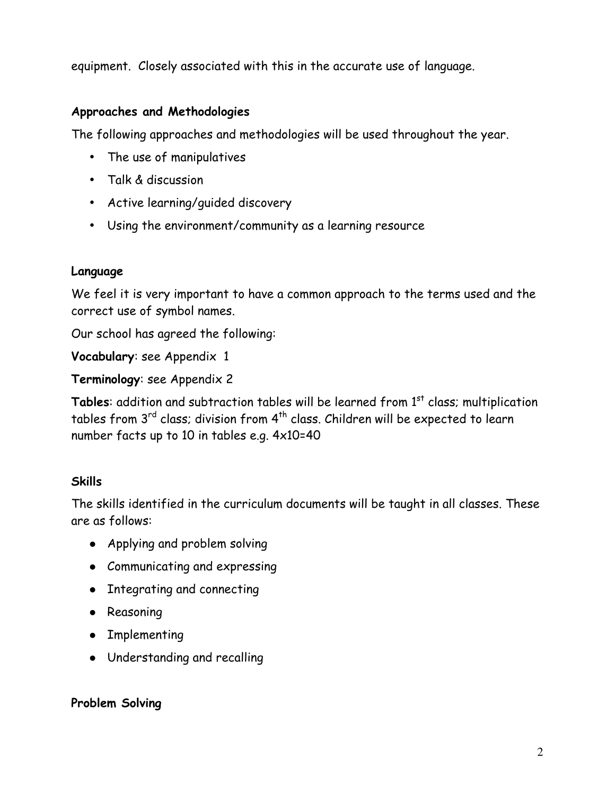equipment. Closely associated with this in the accurate use of language.

#### **Approaches and Methodologies**

The following approaches and methodologies will be used throughout the year.

- The use of manipulatives
- Talk & discussion
- Active learning/guided discovery
- Using the environment/community as a learning resource

#### **Language**

We feel it is very important to have a common approach to the terms used and the correct use of symbol names.

Our school has agreed the following:

**Vocabulary**: see Appendix 1

**Terminology**: see Appendix 2

Tables: addition and subtraction tables will be learned from 1<sup>st</sup> class; multiplication tables from  $3^{rd}$  class; division from  $4^{th}$  class. Children will be expected to learn number facts up to 10 in tables e.g. 4x10=40

#### **Skills**

The skills identified in the curriculum documents will be taught in all classes. These are as follows:

- Applying and problem solving
- Communicating and expressing
- Integrating and connecting
- Reasoning
- Implementing
- Understanding and recalling

#### **Problem Solving**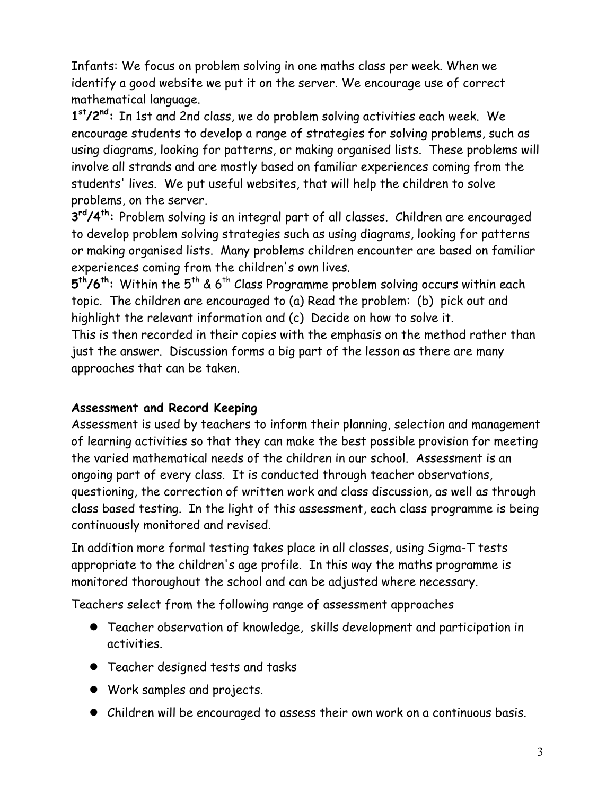Infants: We focus on problem solving in one maths class per week. When we identify a good website we put it on the server. We encourage use of correct mathematical language.

**1st/2nd:** In 1st and 2nd class, we do problem solving activities each week. We encourage students to develop a range of strategies for solving problems, such as using diagrams, looking for patterns, or making organised lists. These problems will involve all strands and are mostly based on familiar experiences coming from the students' lives. We put useful websites, that will help the children to solve problems, on the server.

**3rd/4th:** Problem solving is an integral part of all classes. Children are encouraged to develop problem solving strategies such as using diagrams, looking for patterns or making organised lists. Many problems children encounter are based on familiar experiences coming from the children's own lives.

**5th/6th:** Within the 5th & 6th Class Programme problem solving occurs within each topic. The children are encouraged to (a) Read the problem: (b) pick out and highlight the relevant information and (c) Decide on how to solve it.

This is then recorded in their copies with the emphasis on the method rather than just the answer. Discussion forms a big part of the lesson as there are many approaches that can be taken.

## **Assessment and Record Keeping**

Assessment is used by teachers to inform their planning, selection and management of learning activities so that they can make the best possible provision for meeting the varied mathematical needs of the children in our school. Assessment is an ongoing part of every class. It is conducted through teacher observations, questioning, the correction of written work and class discussion, as well as through class based testing. In the light of this assessment, each class programme is being continuously monitored and revised.

In addition more formal testing takes place in all classes, using Sigma-T tests appropriate to the children's age profile. In this way the maths programme is monitored thoroughout the school and can be adjusted where necessary.

Teachers select from the following range of assessment approaches

- Teacher observation of knowledge, skills development and participation in activities.
- Teacher designed tests and tasks
- Work samples and projects.
- Children will be encouraged to assess their own work on a continuous basis.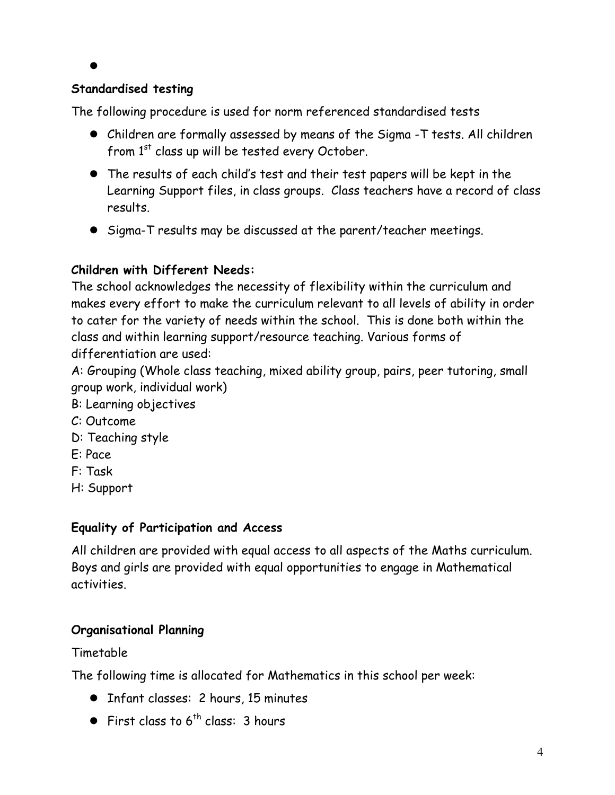#### $\bullet$

#### **Standardised testing**

The following procedure is used for norm referenced standardised tests

- Children are formally assessed by means of the Sigma -T tests. All children from 1<sup>st</sup> class up will be tested every October.
- The results of each child's test and their test papers will be kept in the Learning Support files, in class groups. Class teachers have a record of class results.
- Sigma-T results may be discussed at the parent/teacher meetings.

## **Children with Different Needs:**

The school acknowledges the necessity of flexibility within the curriculum and makes every effort to make the curriculum relevant to all levels of ability in order to cater for the variety of needs within the school. This is done both within the class and within learning support/resource teaching. Various forms of differentiation are used:

A: Grouping (Whole class teaching, mixed ability group, pairs, peer tutoring, small group work, individual work)

- B: Learning objectives
- C: Outcome
- D: Teaching style
- E: Pace
- F: Task
- H: Support

## **Equality of Participation and Access**

All children are provided with equal access to all aspects of the Maths curriculum. Boys and girls are provided with equal opportunities to engage in Mathematical activities.

# **Organisational Planning**

Timetable

The following time is allocated for Mathematics in this school per week:

- Infant classes: 2 hours, 15 minutes
- First class to  $6^{th}$  class: 3 hours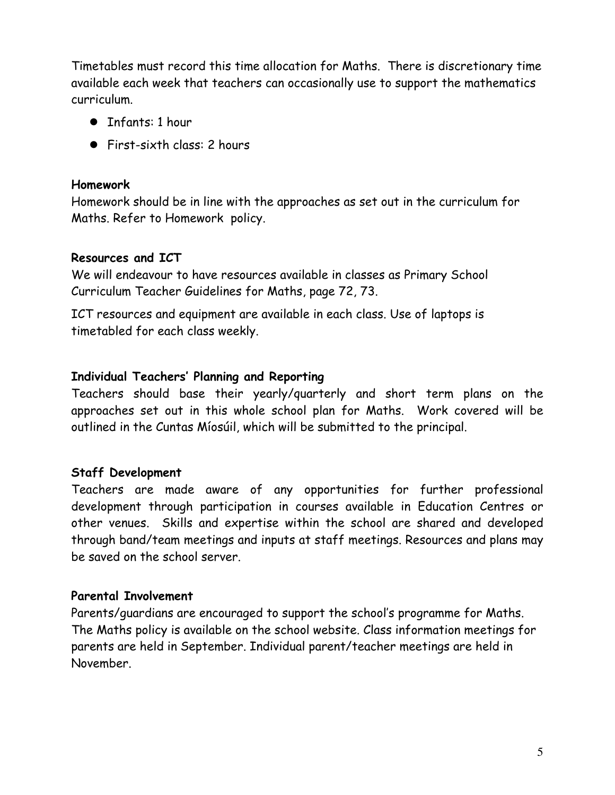Timetables must record this time allocation for Maths. There is discretionary time available each week that teachers can occasionally use to support the mathematics curriculum.

- Infants: 1 hour
- First-sixth class: 2 hours

#### **Homework**

Homework should be in line with the approaches as set out in the curriculum for Maths. Refer to Homework policy.

#### **Resources and ICT**

We will endeavour to have resources available in classes as Primary School Curriculum Teacher Guidelines for Maths, page 72, 73.

ICT resources and equipment are available in each class. Use of laptops is timetabled for each class weekly.

#### **Individual Teachers' Planning and Reporting**

Teachers should base their yearly/quarterly and short term plans on the approaches set out in this whole school plan for Maths. Work covered will be outlined in the Cuntas Míosúil, which will be submitted to the principal.

#### **Staff Development**

Teachers are made aware of any opportunities for further professional development through participation in courses available in Education Centres or other venues. Skills and expertise within the school are shared and developed through band/team meetings and inputs at staff meetings. Resources and plans may be saved on the school server.

#### **Parental Involvement**

Parents/guardians are encouraged to support the school's programme for Maths. The Maths policy is available on the school website. Class information meetings for parents are held in September. Individual parent/teacher meetings are held in November.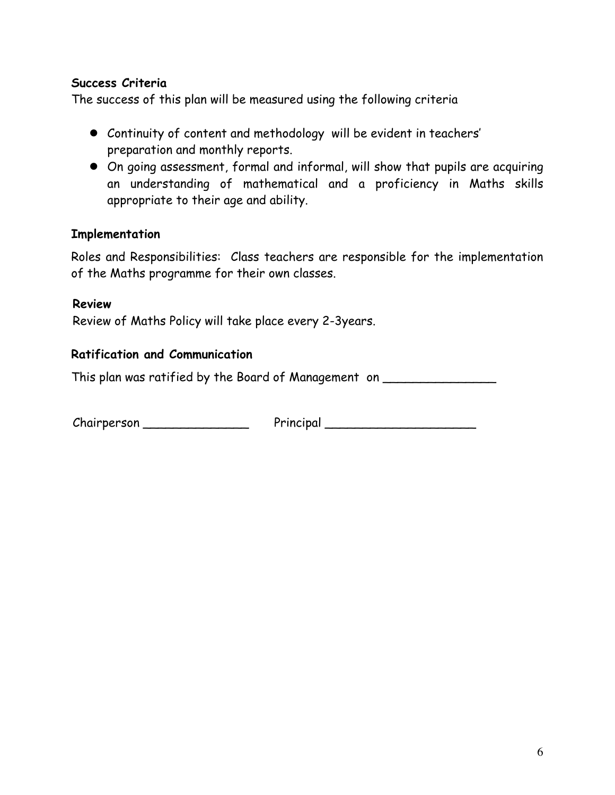#### **Success Criteria**

The success of this plan will be measured using the following criteria

- Continuity of content and methodology will be evident in teachers' preparation and monthly reports.
- On going assessment, formal and informal, will show that pupils are acquiring an understanding of mathematical and a proficiency in Maths skills appropriate to their age and ability.

#### **Implementation**

Roles and Responsibilities: Class teachers are responsible for the implementation of the Maths programme for their own classes.

#### **Review**

Review of Maths Policy will take place every 2-3years.

#### **Ratification and Communication**

This plan was ratified by the Board of Management on \_\_\_\_\_\_\_\_\_\_\_\_\_\_\_\_\_\_\_\_\_\_\_\_\_\_\_

Chairperson \_\_\_\_\_\_\_\_\_\_\_\_\_\_ Principal \_\_\_\_\_\_\_\_\_\_\_\_\_\_\_\_\_\_\_\_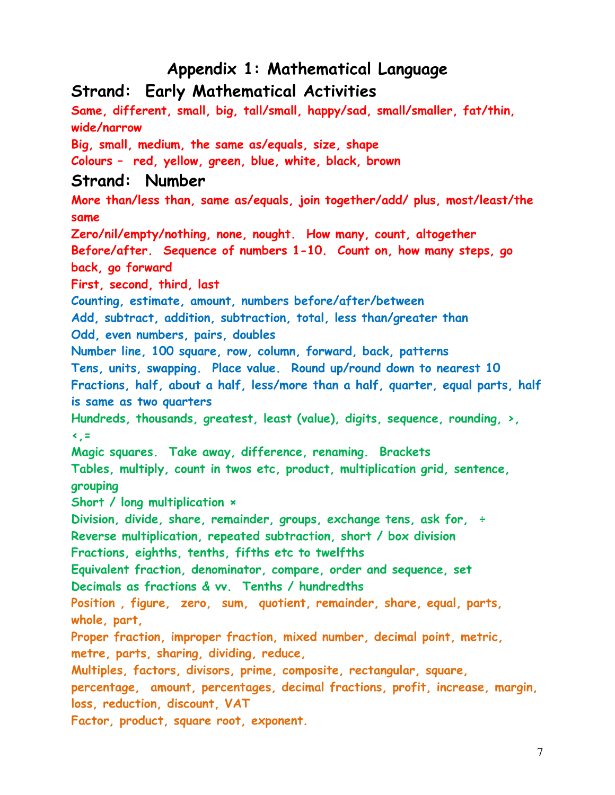# **Appendix 1: Mathematical Language**

# **Strand: Early Mathematical Activities**

**Same, different, small, big, tall/small, happy/sad, small/smaller, fat/thin, wide/narrow Big, small, medium, the same as/equals, size, shape Colours – red, yellow, green, blue, white, black, brown Strand: Number More than/less than, same as/equals, join together/add/ plus, most/least/the same Zero/nil/empty/nothing, none, nought. How many, count, altogether Before/after. Sequence of numbers 1-10. Count on, how many steps, go back, go forward First, second, third, last Counting, estimate, amount, numbers before/after/between Add, subtract, addition, subtraction, total, less than/greater than Odd, even numbers, pairs, doubles Number line, 100 square, row, column, forward, back, patterns Tens, units, swapping. Place value. Round up/round down to nearest 10 Fractions, half, about a half, less/more than a half, quarter, equal parts, half is same as two quarters Hundreds, thousands, greatest, least (value), digits, sequence, rounding, >, <,= Magic squares. Take away, difference, renaming. Brackets Tables, multiply, count in twos etc, product, multiplication grid, sentence, grouping Short / long multiplication × Division, divide, share, remainder, groups, exchange tens, ask for, ÷ Reverse multiplication, repeated subtraction, short / box division Fractions, eighths, tenths, fifths etc to twelfths Equivalent fraction, denominator, compare, order and sequence, set Decimals as fractions & vv. Tenths / hundredths Position , figure, zero, sum, quotient, remainder, share, equal, parts, whole, part, Proper fraction, improper fraction, mixed number, decimal point, metric, metre, parts, sharing, dividing, reduce, Multiples, factors, divisors, prime, composite, rectangular, square, percentage, amount, percentages, decimal fractions, profit, increase, margin, loss, reduction, discount, VAT Factor, product, square root, exponent.**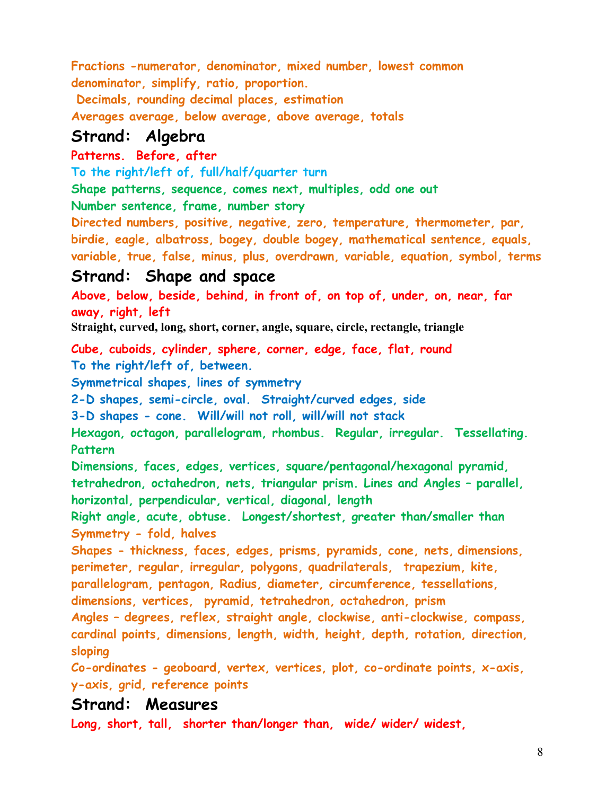**Fractions -numerator, denominator, mixed number, lowest common denominator, simplify, ratio, proportion.**

 **Decimals, rounding decimal places, estimation** 

**Averages average, below average, above average, totals**

# **Strand: Algebra**

#### **Patterns. Before, after**

**To the right/left of, full/half/quarter turn**

**Shape patterns, sequence, comes next, multiples, odd one out**

**Number sentence, frame, number story**

**Directed numbers, positive, negative, zero, temperature, thermometer, par, birdie, eagle, albatross, bogey, double bogey, mathematical sentence, equals, variable, true, false, minus, plus, overdrawn, variable, equation, symbol, terms**

# **Strand: Shape and space**

**Above, below, beside, behind, in front of, on top of, under, on, near, far away, right, left**

**Straight, curved, long, short, corner, angle, square, circle, rectangle, triangle**

**Cube, cuboids, cylinder, sphere, corner, edge, face, flat, round To the right/left of, between.** 

**Symmetrical shapes, lines of symmetry**

**2-D shapes, semi-circle, oval. Straight/curved edges, side**

**3-D shapes - cone. Will/will not roll, will/will not stack**

**Hexagon, octagon, parallelogram, rhombus. Regular, irregular. Tessellating. Pattern**

**Dimensions, faces, edges, vertices, square/pentagonal/hexagonal pyramid, tetrahedron, octahedron, nets, triangular prism. Lines and Angles – parallel, horizontal, perpendicular, vertical, diagonal, length**

**Right angle, acute, obtuse. Longest/shortest, greater than/smaller than Symmetry - fold, halves**

**Shapes - thickness, faces, edges, prisms, pyramids, cone, nets, dimensions, perimeter, regular, irregular, polygons, quadrilaterals, trapezium, kite, parallelogram, pentagon, Radius, diameter, circumference, tessellations,** 

**dimensions, vertices, pyramid, tetrahedron, octahedron, prism**

**Angles – degrees, reflex, straight angle, clockwise, anti-clockwise, compass, cardinal points, dimensions, length, width, height, depth, rotation, direction, sloping**

**Co-ordinates - geoboard, vertex, vertices, plot, co-ordinate points, x-axis, y-axis, grid, reference points**

# **Strand: Measures**

**Long, short, tall, shorter than/longer than, wide/ wider/ widest,**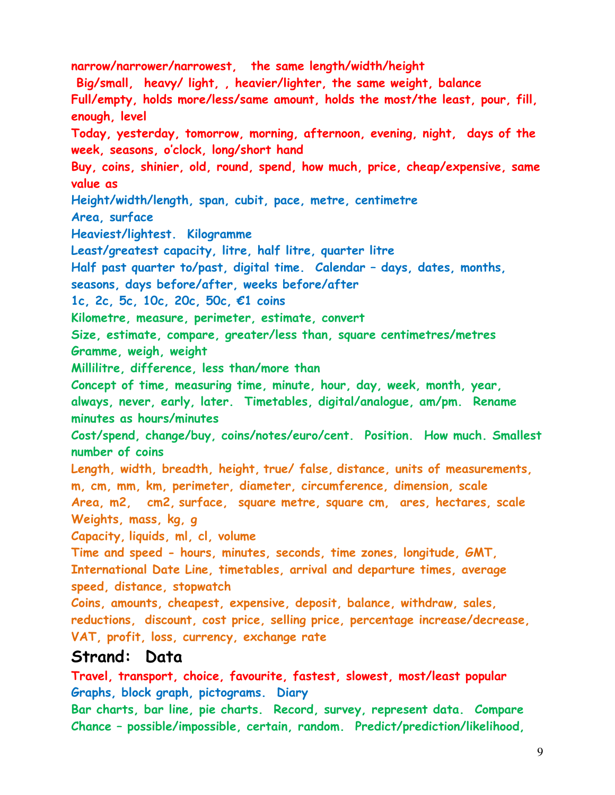**narrow/narrower/narrowest, the same length/width/height Big/small, heavy/ light, , heavier/lighter, the same weight, balance Full/empty, holds more/less/same amount, holds the most/the least, pour, fill, enough, level Today, yesterday, tomorrow, morning, afternoon, evening, night, days of the week, seasons, o'clock, long/short hand Buy, coins, shinier, old, round, spend, how much, price, cheap/expensive, same value as Height/width/length, span, cubit, pace, metre, centimetre Area, surface Heaviest/lightest. Kilogramme Least/greatest capacity, litre, half litre, quarter litre Half past quarter to/past, digital time. Calendar – days, dates, months, seasons, days before/after, weeks before/after 1c, 2c, 5c, 10c, 20c, 50c, €1 coins Kilometre, measure, perimeter, estimate, convert Size, estimate, compare, greater/less than, square centimetres/metres Gramme, weigh, weight Millilitre, difference, less than/more than Concept of time, measuring time, minute, hour, day, week, month, year, always, never, early, later. Timetables, digital/analogue, am/pm. Rename minutes as hours/minutes Cost/spend, change/buy, coins/notes/euro/cent. Position. How much. Smallest number of coins Length, width, breadth, height, true/ false, distance, units of measurements, m, cm, mm, km, perimeter, diameter, circumference, dimension, scale Area, m2, cm2, surface, square metre, square cm, ares, hectares, scale Weights, mass, kg, g Capacity, liquids, ml, cl, volume Time and speed - hours, minutes, seconds, time zones, longitude, GMT, International Date Line, timetables, arrival and departure times, average speed, distance, stopwatch Coins, amounts, cheapest, expensive, deposit, balance, withdraw, sales, reductions, discount, cost price, selling price, percentage increase/decrease, VAT, profit, loss, currency, exchange rate Strand: Data**

**Travel, transport, choice, favourite, fastest, slowest, most/least popular Graphs, block graph, pictograms. Diary**

**Bar charts, bar line, pie charts. Record, survey, represent data. Compare Chance – possible/impossible, certain, random. Predict/prediction/likelihood,**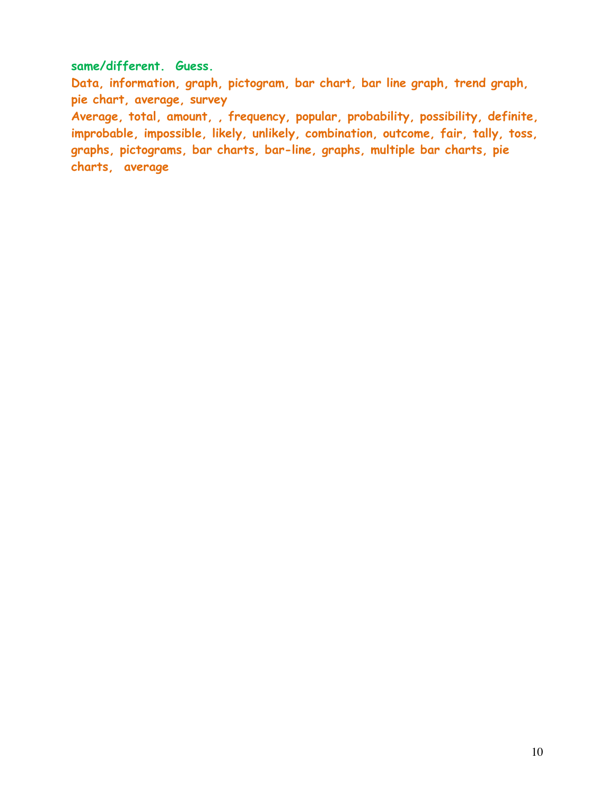#### **same/different. Guess.**

**Data, information, graph, pictogram, bar chart, bar line graph, trend graph, pie chart, average, survey Average, total, amount, , frequency, popular, probability, possibility, definite, improbable, impossible, likely, unlikely, combination, outcome, fair, tally, toss, graphs, pictograms, bar charts, bar-line, graphs, multiple bar charts, pie charts, average**